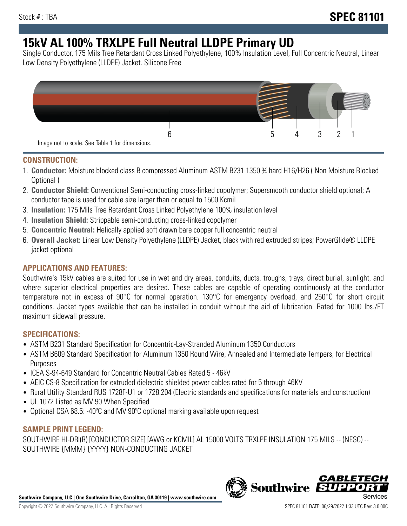# **15kV AL 100% TRXLPE Full Neutral LLDPE Primary UD**

Single Conductor, 175 Mils Tree Retardant Cross Linked Polyethylene, 100% Insulation Level, Full Concentric Neutral, Linear Low Density Polyethylene (LLDPE) Jacket. Silicone Free



### **CONSTRUCTION:**

- 1. **Conductor:** Moisture blocked class B compressed Aluminum ASTM B231 1350 ¾ hard H16/H26 ( Non Moisture Blocked Optional )
- 2. **Conductor Shield:** Conventional Semi-conducting cross-linked copolymer; Supersmooth conductor shield optional; A conductor tape is used for cable size larger than or equal to 1500 Kcmil
- 3. **Insulation:** 175 Mils Tree Retardant Cross Linked Polyethylene 100% insulation level
- 4. **Insulation Shield:** Strippable semi-conducting cross-linked copolymer
- 5. **Concentric Neutral:** Helically applied soft drawn bare copper full concentric neutral
- 6. **Overall Jacket:** Linear Low Density Polyethylene (LLDPE) Jacket, black with red extruded stripes; PowerGlide® LLDPE jacket optional

## **APPLICATIONS AND FEATURES:**

Southwire's 15kV cables are suited for use in wet and dry areas, conduits, ducts, troughs, trays, direct burial, sunlight, and where superior electrical properties are desired. These cables are capable of operating continuously at the conductor temperature not in excess of 90°C for normal operation. 130°C for emergency overload, and 250°C for short circuit conditions. Jacket types available that can be installed in conduit without the aid of lubrication. Rated for 1000 lbs./FT maximum sidewall pressure.

## **SPECIFICATIONS:**

- ASTM B231 Standard Specification for Concentric-Lay-Stranded Aluminum 1350 Conductors
- ASTM B609 Standard Specification for Aluminum 1350 Round Wire, Annealed and Intermediate Tempers, for Electrical Purposes
- ICEA S-94-649 Standard for Concentric Neutral Cables Rated 5 46kV
- AEIC CS-8 Specification for extruded dielectric shielded power cables rated for 5 through 46KV
- Rural Utility Standard RUS 1728F-U1 or 1728.204 (Electric standards and specifications for materials and construction)
- UL 1072 Listed as MV 90 When Specified
- Optional CSA 68.5: -40ºC and MV 90ºC optional marking available upon request

#### **SAMPLE PRINT LEGEND:**

SOUTHWIRE HI-DRI(R) [CONDUCTOR SIZE] [AWG or KCMIL] AL 15000 VOLTS TRXLPE INSULATION 175 MILS -- (NESC) -- SOUTHWIRE {MMM} {YYYY} NON-CONDUCTING JACKET

**Southwire Company, LLC | One Southwire Drive, Carrollton, GA 30119 | www.southwire.com**

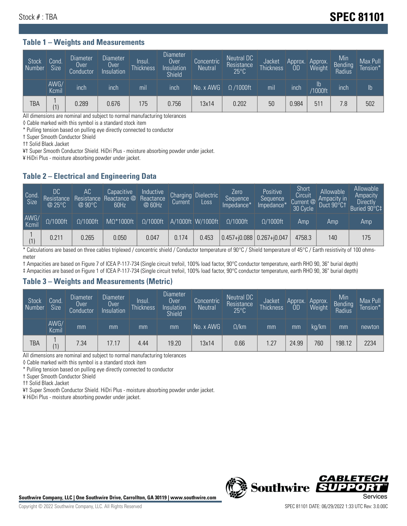## Stock # : TBA **SPEC 81101**

#### **Table 1 – Weights and Measurements**

| <b>Stock</b><br>  Number | Cond<br><b>Size</b> | <b>Diameter</b><br>Over<br>Conductor | <b>Diameter</b><br>Over<br>Insulation | lnsul.<br><b>Thickness</b> | Diameter<br>Over<br>Insulation<br><b>Shield</b> | Concentric<br><b>Neutral</b> | Neutral DC<br>Resistance<br>$25^{\circ}$ C | Jacket<br><b>Thickness</b> | Approx.<br><b>OD</b> | Approx.<br>Weight        | Min<br><b>Bending</b><br>Radius | Max Pull<br>Tension* |
|--------------------------|---------------------|--------------------------------------|---------------------------------------|----------------------------|-------------------------------------------------|------------------------------|--------------------------------------------|----------------------------|----------------------|--------------------------|---------------------------------|----------------------|
|                          | AWG/<br>Kcmil       | inch                                 | inch                                  | mil                        | inch                                            | No. x AWG                    | $\Omega$ /1000ft                           | mil                        | inch                 | $\mathsf{lb}$<br>/1000ft | inch                            | Ib                   |
| <b>TBA</b>               | (1)                 | 0.289                                | 0.676                                 | 75                         | 0.756                                           | 13x14                        | 0.202                                      | 50                         | 0.984                | 511                      | 7.8                             | 502                  |

All dimensions are nominal and subject to normal manufacturing tolerances

◊ Cable marked with this symbol is a standard stock item

\* Pulling tension based on pulling eye directly connected to conductor

† Super Smooth Conductor Shield

†† Solid Black Jacket

¥† Super Smooth Conductor Shield. HiDri Plus - moisture absorbing powder under jacket.

¥ HiDri Plus - moisture absorbing powder under jacket.

### **Table 2 – Electrical and Engineering Data**

| Cond.<br>Size | 'DC<br>Resistance<br>@ 25°C | АC<br>Resistance<br>$\oslash$ 90°C | Capacitive<br>Reactance @<br>60Hz | Inductive<br>Reactance<br>@ 60Hz | <b>Charging</b><br>Current | <b>Dielectric</b><br>Loss | Zero<br>Sequence<br>Impedance* | Positive<br>Sequence<br>Impedance* | Short<br>Circuit<br>Current @<br>30 Cycle | Allowable<br>Ampacity in<br>Duct 90°C1 | Allowable<br>Ampacity<br>Directly<br>Buried 90°C‡ |
|---------------|-----------------------------|------------------------------------|-----------------------------------|----------------------------------|----------------------------|---------------------------|--------------------------------|------------------------------------|-------------------------------------------|----------------------------------------|---------------------------------------------------|
| AWG/<br>Kcmil | $\Omega/1000$ ft            | $\Omega/1000$ ft                   | $M\Omega^*1000$ ft                | $\Omega/1000$ ft                 |                            | A/1000ft W/1000ft         | $\Omega/1000$ ft               | $\Omega/1000$ ft                   | Amp                                       | Amp                                    | Amp                                               |
|               | 0.211                       | 0.265                              | 0.050                             | 0.047                            | 0.174                      | 0.453                     | $0.457 + 0.088$ 0.267+ $0.047$ |                                    | 4758.3                                    | 140                                    | 175                                               |

\* Calculations are based on three cables triplexed / concentric shield / Conductor temperature of 90°C / Shield temperature of 45°C / Earth resistivity of 100 ohmsmeter

† Ampacities are based on Figure 7 of ICEA P-117-734 (Single circuit trefoil, 100% load factor, 90°C conductor temperature, earth RHO 90, 36" burial depth)

‡ Ampacities are based on Figure 1 of ICEA P-117-734 (Single circuit trefoil, 100% load factor, 90°C conductor temperature, earth RHO 90, 36" burial depth)

#### **Table 3 – Weights and Measurements (Metric)**

| Stock<br>Number | Cond.<br><b>Size</b> | Diameter<br><b>Over</b><br>Conductor | <b>Diameter</b><br><b>Over</b><br>Insulation | lnsul.<br><b>Thickness</b> | <b>Diameter</b><br>Over<br>Insulation<br><b>Shield</b> | Concentric<br>Neutral | Neutral DC<br>Resistance<br>$25^{\circ}$ C | Jacket<br><b>Thickness</b> | Approx.<br>0D | Approx.<br>Weight | Min<br>Bending<br>Radius | Max Pull<br>Tension* |
|-----------------|----------------------|--------------------------------------|----------------------------------------------|----------------------------|--------------------------------------------------------|-----------------------|--------------------------------------------|----------------------------|---------------|-------------------|--------------------------|----------------------|
|                 | AWG/<br>Kcmil        | mm                                   | mm                                           | mm                         | mm                                                     | No. x AWG             | $\Omega$ /km                               | mm                         | mm            | ka/km             | mm                       | newton               |
| <b>TBA</b>      | (1)                  | 7.34                                 | 17.17                                        | 4.44                       | 19.20                                                  | 13x14                 | 0.66                                       | 1.27                       | 24.99         | 760               | 198.12                   | 2234                 |

All dimensions are nominal and subject to normal manufacturing tolerances

◊ Cable marked with this symbol is a standard stock item

\* Pulling tension based on pulling eye directly connected to conductor

† Super Smooth Conductor Shield

†† Solid Black Jacket

¥† Super Smooth Conductor Shield. HiDri Plus - moisture absorbing powder under jacket.

¥ HiDri Plus - moisture absorbing powder under jacket.



Southwire Company, LLC | One Southwire Drive, Carrollton, GA 30119 | www.southwire.com **Second Company, COVID Services**